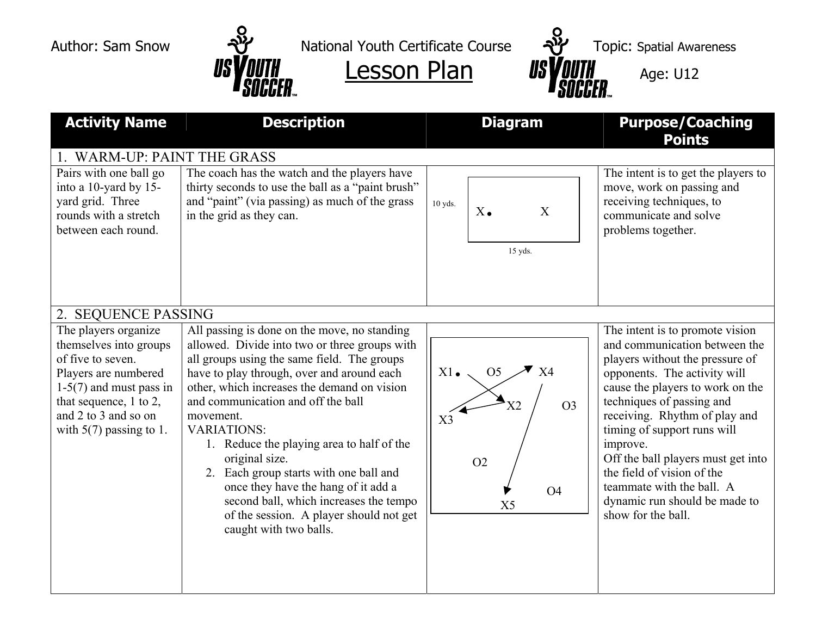

Author: Sam Snow  $\mathcal{P}$  National Youth Certificate Course  $\mathcal{P}$  Topic: Spatial Awareness



| <b>Activity Name</b>                                                                                                                               | <b>Description</b>                                                                                                                                                                                                                                                                                                                                                                                                                | <b>Diagram</b>                                                                                          | <b>Purpose/Coaching</b><br><b>Points</b>                                                                                                                                                                                                                                                                                          |  |
|----------------------------------------------------------------------------------------------------------------------------------------------------|-----------------------------------------------------------------------------------------------------------------------------------------------------------------------------------------------------------------------------------------------------------------------------------------------------------------------------------------------------------------------------------------------------------------------------------|---------------------------------------------------------------------------------------------------------|-----------------------------------------------------------------------------------------------------------------------------------------------------------------------------------------------------------------------------------------------------------------------------------------------------------------------------------|--|
| 1. WARM-UP: PAINT THE GRASS<br>Pairs with one ball go<br>into a 10-yard by 15-<br>yard grid. Three<br>rounds with a stretch<br>between each round. | The coach has the watch and the players have<br>thirty seconds to use the ball as a "paint brush"<br>and "paint" (via passing) as much of the grass<br>in the grid as they can.                                                                                                                                                                                                                                                   | 10 yds.<br>$X_{\bullet}$<br>X                                                                           | The intent is to get the players to<br>move, work on passing and<br>receiving techniques, to<br>communicate and solve<br>problems together.                                                                                                                                                                                       |  |
| 2. SEQUENCE PASSING<br>The players organize<br>themselves into groups<br>of five to seven.                                                         | All passing is done on the move, no standing<br>allowed. Divide into two or three groups with<br>all groups using the same field. The groups                                                                                                                                                                                                                                                                                      | 15 yds.                                                                                                 | The intent is to promote vision<br>and communication between the<br>players without the pressure of                                                                                                                                                                                                                               |  |
| Players are numbered<br>$1-5(7)$ and must pass in<br>that sequence, $1$ to $2$ ,<br>and 2 to 3 and so on<br>with $5(7)$ passing to 1.              | have to play through, over and around each<br>other, which increases the demand on vision<br>and communication and off the ball<br>movement.<br><b>VARIATIONS:</b><br>1. Reduce the playing area to half of the<br>original size.<br>2. Each group starts with one ball and<br>once they have the hang of it add a<br>second ball, which increases the tempo<br>of the session. A player should not get<br>caught with two balls. | $X1$ .<br>O <sub>5</sub><br>X4<br>O <sub>3</sub><br>X3<br>O <sub>2</sub><br><b>O4</b><br>X <sub>5</sub> | opponents. The activity will<br>cause the players to work on the<br>techniques of passing and<br>receiving. Rhythm of play and<br>timing of support runs will<br>improve.<br>Off the ball players must get into<br>the field of vision of the<br>teammate with the ball. A<br>dynamic run should be made to<br>show for the ball. |  |
|                                                                                                                                                    |                                                                                                                                                                                                                                                                                                                                                                                                                                   |                                                                                                         |                                                                                                                                                                                                                                                                                                                                   |  |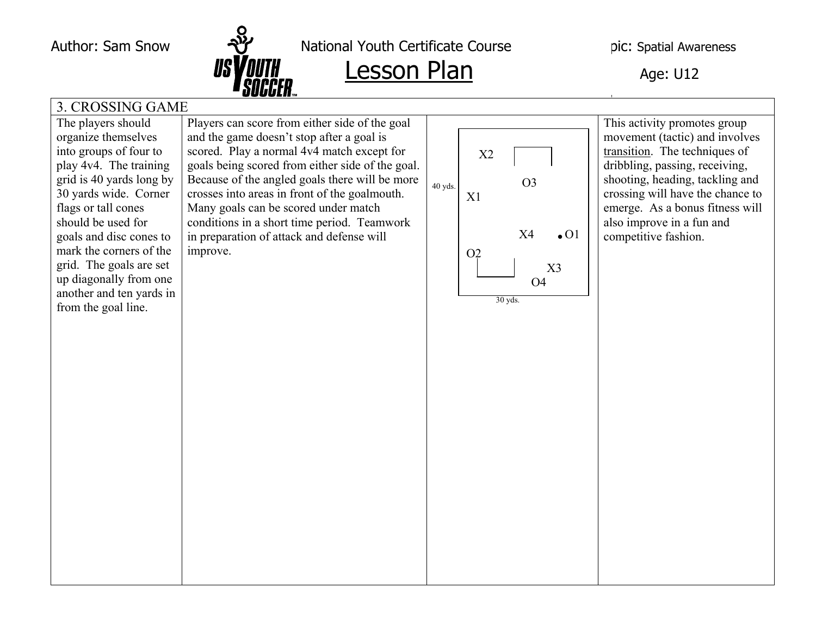

Author: Sam Snow  $\frac{1}{2}$  National Youth Certificate Course pic: Spatial Awareness

## Lesson Plan Age: U12

## 3. CROSSING GAME

The players should organize themselves into groups of four to play 4v4. The training grid is 40 yards long by 30 yards wide. Corner flags or tall cones should be used for goals and disc cones to mark the corners of the grid. The goals are set up diagonally from one another and ten yards in from the goal line.

Players can score from either side of the goal and the game doesn't stop after a goal is scored. Play a normal 4v4 match except for goals being scored from either side of the goal. Because of the angled goals there will be more crosses into areas in front of the goalmouth. Many goals can be scored under match conditions in a short time period. Teamwork in preparation of attack and defense will improve.



This activity promotes group movement (tactic) and involves transition. The techniques of dribbling, passing, receiving, shooting, heading, tackling and crossing will have the chance to emerge. As a bonus fitness will also improve in a fun and competitive fashion.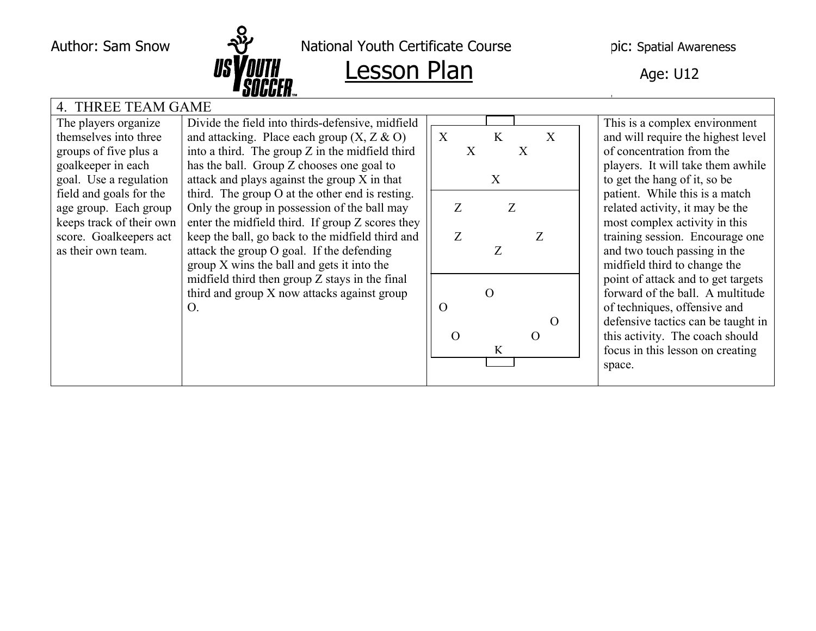

Author: Sam Snow  $\frac{1}{2}$  National Youth Certificate Course  $\qquad$  pic: Spatial Awareness

| 4. THREE TEAM GAME       |                                                   |                                     |                                    |  |  |  |  |
|--------------------------|---------------------------------------------------|-------------------------------------|------------------------------------|--|--|--|--|
| The players organize     | Divide the field into thirds-defensive, midfield  |                                     | This is a complex environment      |  |  |  |  |
| themselves into three    | and attacking. Place each group $(X, Z \& O)$     | $\boldsymbol{\mathrm{X}}$<br>K<br>X | and will require the highest level |  |  |  |  |
| groups of five plus a    | into a third. The group $Z$ in the midfield third | X<br>$\mathbf{X}$                   | of concentration from the          |  |  |  |  |
| goalkeeper in each       | has the ball. Group Z chooses one goal to         |                                     | players. It will take them awhile  |  |  |  |  |
| goal. Use a regulation   | attack and plays against the group X in that      | X                                   | to get the hang of it, so be       |  |  |  |  |
| field and goals for the  | third. The group O at the other end is resting.   |                                     | patient. While this is a match     |  |  |  |  |
| age group. Each group    | Only the group in possession of the ball may      | Z<br>Z                              | related activity, it may be the    |  |  |  |  |
| keeps track of their own | enter the midfield third. If group Z scores they  |                                     | most complex activity in this      |  |  |  |  |
| score. Goalkeepers act   | keep the ball, go back to the midfield third and  | Ζ                                   | training session. Encourage one    |  |  |  |  |
| as their own team.       | attack the group O goal. If the defending         | Z                                   | and two touch passing in the       |  |  |  |  |
|                          | group X wins the ball and gets it into the        |                                     | midfield third to change the       |  |  |  |  |
|                          | midfield third then group Z stays in the final    |                                     | point of attack and to get targets |  |  |  |  |
|                          | third and group X now attacks against group       | $\Omega$                            | forward of the ball. A multitude   |  |  |  |  |
|                          | O.                                                | $\rm{O}$                            | of techniques, offensive and       |  |  |  |  |
|                          |                                                   | $\Omega$                            | defensive tactics can be taught in |  |  |  |  |
|                          |                                                   | O<br>$\left( \right)$               | this activity. The coach should    |  |  |  |  |
|                          |                                                   | K                                   | focus in this lesson on creating   |  |  |  |  |
|                          |                                                   |                                     | space.                             |  |  |  |  |
|                          |                                                   |                                     |                                    |  |  |  |  |